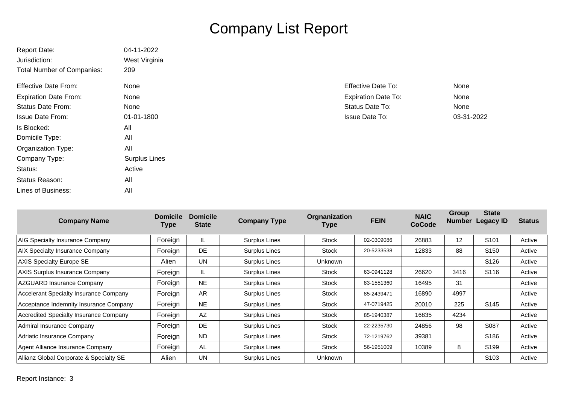## Company List Report

| <b>Report Date:</b>               | 04-11-2022           |                            |            |
|-----------------------------------|----------------------|----------------------------|------------|
| Jurisdiction:                     | West Virginia        |                            |            |
| <b>Total Number of Companies:</b> | 209                  |                            |            |
| <b>Effective Date From:</b>       | None                 | <b>Effective Date To:</b>  | None       |
| <b>Expiration Date From:</b>      | None                 | <b>Expiration Date To:</b> | None       |
| <b>Status Date From:</b>          | None                 | Status Date To:            | None       |
| <b>Issue Date From:</b>           | 01-01-1800           | <b>Issue Date To:</b>      | 03-31-2022 |
| Is Blocked:                       | All                  |                            |            |
| Domicile Type:                    | All                  |                            |            |
| <b>Organization Type:</b>         | All                  |                            |            |
| Company Type:                     | <b>Surplus Lines</b> |                            |            |
| Status:                           | Active               |                            |            |
| Status Reason:                    | All                  |                            |            |
| Lines of Business:                | All                  |                            |            |

| <b>Company Name</b>                           | <b>Domicile</b><br>Type | <b>Domicile</b><br><b>State</b> | <b>Company Type</b>  | Orgnanization<br>Type | <b>FEIN</b> | <b>NAIC</b><br>CoCode | Group<br><b>Number</b> | <b>State</b><br><b>Legacy ID</b> | <b>Status</b> |
|-----------------------------------------------|-------------------------|---------------------------------|----------------------|-----------------------|-------------|-----------------------|------------------------|----------------------------------|---------------|
| AIG Specialty Insurance Company               | Foreign                 | IL                              | <b>Surplus Lines</b> | <b>Stock</b>          | 02-0309086  | 26883                 | 12                     | S <sub>101</sub>                 | Active        |
| AIX Specialty Insurance Company               | Foreign                 | <b>DE</b>                       | <b>Surplus Lines</b> | <b>Stock</b>          | 20-5233538  | 12833                 | 88                     | S <sub>150</sub>                 | Active        |
| <b>AXIS Specialty Europe SE</b>               | Alien                   | <b>UN</b>                       | Surplus Lines        | Unknown               |             |                       |                        | S <sub>126</sub>                 | Active        |
| <b>AXIS Surplus Insurance Company</b>         | Foreign                 | IL                              | <b>Surplus Lines</b> | <b>Stock</b>          | 63-0941128  | 26620                 | 3416                   | S <sub>116</sub>                 | Active        |
| AZGUARD Insurance Company                     | Foreign                 | <b>NE</b>                       | Surplus Lines        | Stock                 | 83-1551360  | 16495                 | 31                     |                                  | Active        |
| Accelerant Specialty Insurance Company        | Foreign                 | AR.                             | Surplus Lines        | Stock                 | 85-2439471  | 16890                 | 4997                   |                                  | Active        |
| Acceptance Indemnity Insurance Company        | Foreign                 | <b>NE</b>                       | <b>Surplus Lines</b> | Stock                 | 47-0719425  | 20010                 | 225                    | S <sub>145</sub>                 | Active        |
| <b>Accredited Specialty Insurance Company</b> | Foreign                 | <b>AZ</b>                       | <b>Surplus Lines</b> | Stock                 | 85-1940387  | 16835                 | 4234                   |                                  | Active        |
| Admiral Insurance Company                     | Foreign                 | DE.                             | <b>Surplus Lines</b> | Stock                 | 22-2235730  | 24856                 | 98                     | S087                             | Active        |
| Adriatic Insurance Company                    | Foreign                 | <b>ND</b>                       | <b>Surplus Lines</b> | Stock                 | 72-1219762  | 39381                 |                        | S186                             | Active        |
| Agent Alliance Insurance Company              | Foreign                 | AL                              | <b>Surplus Lines</b> | Stock                 | 56-1951009  | 10389                 | 8                      | S <sub>199</sub>                 | Active        |
| Allianz Global Corporate & Specialty SE       | Alien                   | <b>UN</b>                       | Surplus Lines        | <b>Unknown</b>        |             |                       |                        | S <sub>103</sub>                 | Active        |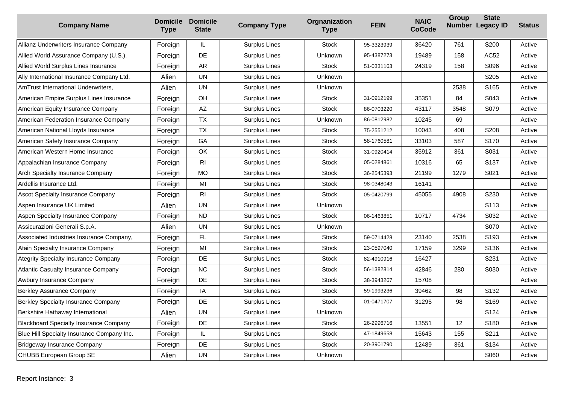| <b>Company Name</b>                           | <b>Domicile</b><br><b>Type</b> | <b>Domicile</b><br><b>State</b> | <b>Company Type</b>  | Orgnanization<br><b>Type</b> | <b>FEIN</b> | <b>NAIC</b><br><b>CoCode</b> | Group | <b>State</b><br>Number Legacy ID | <b>Status</b> |
|-----------------------------------------------|--------------------------------|---------------------------------|----------------------|------------------------------|-------------|------------------------------|-------|----------------------------------|---------------|
| Allianz Underwriters Insurance Company        | Foreign                        | IL                              | Surplus Lines        | <b>Stock</b>                 | 95-3323939  | 36420                        | 761   | S200                             | Active        |
| Allied World Assurance Company (U.S.),        | Foreign                        | DE                              | <b>Surplus Lines</b> | Unknown                      | 95-4387273  | 19489                        | 158   | AC52                             | Active        |
| Allied World Surplus Lines Insurance          | Foreign                        | <b>AR</b>                       | Surplus Lines        | <b>Stock</b>                 | 51-0331163  | 24319                        | 158   | S096                             | Active        |
| Ally International Insurance Company Ltd.     | Alien                          | UN                              | <b>Surplus Lines</b> | <b>Unknown</b>               |             |                              |       | S205                             | Active        |
| AmTrust International Underwriters,           | Alien                          | <b>UN</b>                       | <b>Surplus Lines</b> | <b>Unknown</b>               |             |                              | 2538  | S <sub>165</sub>                 | Active        |
| American Empire Surplus Lines Insurance       | Foreign                        | OH                              | Surplus Lines        | <b>Stock</b>                 | 31-0912199  | 35351                        | 84    | S043                             | Active        |
| American Equity Insurance Company             | Foreign                        | AZ                              | Surplus Lines        | <b>Stock</b>                 | 86-0703220  | 43117                        | 3548  | S079                             | Active        |
| American Federation Insurance Company         | Foreign                        | <b>TX</b>                       | Surplus Lines        | <b>Unknown</b>               | 86-0812982  | 10245                        | 69    |                                  | Active        |
| American National Lloyds Insurance            | Foreign                        | <b>TX</b>                       | Surplus Lines        | <b>Stock</b>                 | 75-2551212  | 10043                        | 408   | S208                             | Active        |
| American Safety Insurance Company             | Foreign                        | GA                              | Surplus Lines        | <b>Stock</b>                 | 58-1760581  | 33103                        | 587   | S <sub>170</sub>                 | Active        |
| American Western Home Insurance               | Foreign                        | OK                              | Surplus Lines        | <b>Stock</b>                 | 31-0920414  | 35912                        | 361   | S031                             | Active        |
| Appalachian Insurance Company                 | Foreign                        | R <sub>l</sub>                  | <b>Surplus Lines</b> | <b>Stock</b>                 | 05-0284861  | 10316                        | 65    | S137                             | Active        |
| Arch Specialty Insurance Company              | Foreign                        | MO                              | Surplus Lines        | <b>Stock</b>                 | 36-2545393  | 21199                        | 1279  | S021                             | Active        |
| Ardellis Insurance Ltd.                       | Foreign                        | MI                              | <b>Surplus Lines</b> | <b>Stock</b>                 | 98-0348043  | 16141                        |       |                                  | Active        |
| <b>Ascot Specialty Insurance Company</b>      | Foreign                        | R <sub>l</sub>                  | <b>Surplus Lines</b> | <b>Stock</b>                 | 05-0420799  | 45055                        | 4908  | S230                             | Active        |
| Aspen Insurance UK Limited                    | Alien                          | <b>UN</b>                       | Surplus Lines        | Unknown                      |             |                              |       | S113                             | Active        |
| Aspen Specialty Insurance Company             | Foreign                        | <b>ND</b>                       | Surplus Lines        | <b>Stock</b>                 | 06-1463851  | 10717                        | 4734  | S032                             | Active        |
| Assicurazioni Generali S.p.A.                 | Alien                          | <b>UN</b>                       | Surplus Lines        | Unknown                      |             |                              |       | S070                             | Active        |
| Associated Industries Insurance Company,      | Foreign                        | FL                              | Surplus Lines        | <b>Stock</b>                 | 59-0714428  | 23140                        | 2538  | S <sub>193</sub>                 | Active        |
| Atain Specialty Insurance Company             | Foreign                        | MI                              | Surplus Lines        | <b>Stock</b>                 | 23-0597040  | 17159                        | 3299  | S <sub>136</sub>                 | Active        |
| Ategrity Specialty Insurance Company          | Foreign                        | DE                              | <b>Surplus Lines</b> | <b>Stock</b>                 | 82-4910916  | 16427                        |       | S231                             | Active        |
| <b>Atlantic Casualty Insurance Company</b>    | Foreign                        | <b>NC</b>                       | Surplus Lines        | <b>Stock</b>                 | 56-1382814  | 42846                        | 280   | S030                             | Active        |
| Awbury Insurance Company                      | Foreign                        | DE                              | Surplus Lines        | <b>Stock</b>                 | 38-3943267  | 15708                        |       |                                  | Active        |
| Berkley Assurance Company                     | Foreign                        | ΙA                              | Surplus Lines        | <b>Stock</b>                 | 59-1993236  | 39462                        | 98    | S <sub>132</sub>                 | Active        |
| <b>Berkley Specialty Insurance Company</b>    | Foreign                        | DE                              | Surplus Lines        | <b>Stock</b>                 | 01-0471707  | 31295                        | 98    | S169                             | Active        |
| Berkshire Hathaway International              | Alien                          | <b>UN</b>                       | Surplus Lines        | Unknown                      |             |                              |       | S124                             | Active        |
| <b>Blackboard Specialty Insurance Company</b> | Foreign                        | DE                              | Surplus Lines        | <b>Stock</b>                 | 26-2996716  | 13551                        | 12    | S180                             | Active        |
| Blue Hill Specialty Insurance Company Inc.    | Foreign                        | IL.                             | <b>Surplus Lines</b> | <b>Stock</b>                 | 47-1849658  | 15643                        | 155   | S211                             | Active        |
| <b>Bridgeway Insurance Company</b>            | Foreign                        | DE                              | <b>Surplus Lines</b> | <b>Stock</b>                 | 20-3901790  | 12489                        | 361   | S134                             | Active        |
| CHUBB European Group SE                       | Alien                          | <b>UN</b>                       | Surplus Lines        | Unknown                      |             |                              |       | S060                             | Active        |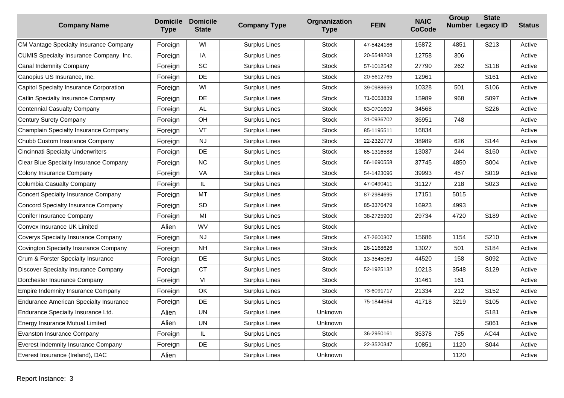| <b>Company Name</b>                            | <b>Domicile</b><br><b>Type</b> | <b>Domicile</b><br><b>State</b> | <b>Company Type</b>  | Orgnanization<br><b>Type</b> | <b>FEIN</b> | <b>NAIC</b><br><b>CoCode</b> | Group | <b>State</b><br>Number Legacy ID | <b>Status</b> |
|------------------------------------------------|--------------------------------|---------------------------------|----------------------|------------------------------|-------------|------------------------------|-------|----------------------------------|---------------|
| CM Vantage Specialty Insurance Company         | Foreign                        | WI                              | <b>Surplus Lines</b> | <b>Stock</b>                 | 47-5424186  | 15872                        | 4851  | S213                             | Active        |
| <b>CUMIS Specialty Insurance Company, Inc.</b> | Foreign                        | IA                              | Surplus Lines        | <b>Stock</b>                 | 20-5548208  | 12758                        | 306   |                                  | Active        |
| Canal Indemnity Company                        | Foreign                        | SC                              | Surplus Lines        | <b>Stock</b>                 | 57-1012542  | 27790                        | 262   | S118                             | Active        |
| Canopius US Insurance, Inc.                    | Foreign                        | DE                              | Surplus Lines        | <b>Stock</b>                 | 20-5612765  | 12961                        |       | S <sub>161</sub>                 | Active        |
| Capitol Specialty Insurance Corporation        | Foreign                        | WI                              | <b>Surplus Lines</b> | <b>Stock</b>                 | 39-0988659  | 10328                        | 501   | S <sub>106</sub>                 | Active        |
| <b>Catlin Specialty Insurance Company</b>      | Foreign                        | DE                              | Surplus Lines        | <b>Stock</b>                 | 71-6053839  | 15989                        | 968   | S097                             | Active        |
| <b>Centennial Casualty Company</b>             | Foreign                        | <b>AL</b>                       | Surplus Lines        | <b>Stock</b>                 | 63-0701609  | 34568                        |       | S226                             | Active        |
| <b>Century Surety Company</b>                  | Foreign                        | OH                              | Surplus Lines        | <b>Stock</b>                 | 31-0936702  | 36951                        | 748   |                                  | Active        |
| Champlain Specialty Insurance Company          | Foreign                        | VT                              | Surplus Lines        | <b>Stock</b>                 | 85-1195511  | 16834                        |       |                                  | Active        |
| Chubb Custom Insurance Company                 | Foreign                        | NJ                              | <b>Surplus Lines</b> | <b>Stock</b>                 | 22-2320779  | 38989                        | 626   | S144                             | Active        |
| <b>Cincinnati Specialty Underwriters</b>       | Foreign                        | DE                              | Surplus Lines        | <b>Stock</b>                 | 65-1316588  | 13037                        | 244   | S160                             | Active        |
| Clear Blue Specialty Insurance Company         | Foreign                        | <b>NC</b>                       | Surplus Lines        | Stock                        | 56-1690558  | 37745                        | 4850  | S004                             | Active        |
| Colony Insurance Company                       | Foreign                        | VA                              | Surplus Lines        | <b>Stock</b>                 | 54-1423096  | 39993                        | 457   | S019                             | Active        |
| Columbia Casualty Company                      | Foreign                        | IL.                             | Surplus Lines        | <b>Stock</b>                 | 47-0490411  | 31127                        | 218   | S023                             | Active        |
| <b>Concert Specialty Insurance Company</b>     | Foreign                        | <b>MT</b>                       | Surplus Lines        | <b>Stock</b>                 | 87-2984695  | 17151                        | 5015  |                                  | Active        |
| Concord Specialty Insurance Company            | Foreign                        | <b>SD</b>                       | Surplus Lines        | <b>Stock</b>                 | 85-3376479  | 16923                        | 4993  |                                  | Active        |
| <b>Conifer Insurance Company</b>               | Foreign                        | MI                              | Surplus Lines        | <b>Stock</b>                 | 38-2725900  | 29734                        | 4720  | S189                             | Active        |
| Convex Insurance UK Limited                    | Alien                          | WV                              | Surplus Lines        | <b>Stock</b>                 |             |                              |       |                                  | Active        |
| Coverys Specialty Insurance Company            | Foreign                        | <b>NJ</b>                       | <b>Surplus Lines</b> | <b>Stock</b>                 | 47-2600307  | 15686                        | 1154  | S210                             | Active        |
| Covington Specialty Insurance Company          | Foreign                        | <b>NH</b>                       | <b>Surplus Lines</b> | <b>Stock</b>                 | 26-1168626  | 13027                        | 501   | S184                             | Active        |
| Crum & Forster Specialty Insurance             | Foreign                        | DE                              | Surplus Lines        | <b>Stock</b>                 | 13-3545069  | 44520                        | 158   | S092                             | Active        |
| Discover Specialty Insurance Company           | Foreign                        | <b>CT</b>                       | Surplus Lines        | <b>Stock</b>                 | 52-1925132  | 10213                        | 3548  | S129                             | Active        |
| Dorchester Insurance Company                   | Foreign                        | VI                              | Surplus Lines        | <b>Stock</b>                 |             | 31461                        | 161   |                                  | Active        |
| Empire Indemnity Insurance Company             | Foreign                        | OK                              | Surplus Lines        | Stock                        | 73-6091717  | 21334                        | 212   | S <sub>152</sub>                 | Active        |
| <b>Endurance American Specialty Insurance</b>  | Foreign                        | DE                              | Surplus Lines        | <b>Stock</b>                 | 75-1844564  | 41718                        | 3219  | S <sub>105</sub>                 | Active        |
| Endurance Specialty Insurance Ltd.             | Alien                          | <b>UN</b>                       | Surplus Lines        | Unknown                      |             |                              |       | S181                             | Active        |
| <b>Energy Insurance Mutual Limited</b>         | Alien                          | <b>UN</b>                       | <b>Surplus Lines</b> | Unknown                      |             |                              |       | S061                             | Active        |
| <b>Evanston Insurance Company</b>              | Foreign                        | IL                              | Surplus Lines        | <b>Stock</b>                 | 36-2950161  | 35378                        | 785   | <b>AC44</b>                      | Active        |
| Everest Indemnity Insurance Company            | Foreign                        | DE                              | <b>Surplus Lines</b> | Stock                        | 22-3520347  | 10851                        | 1120  | S044                             | Active        |
| Everest Insurance (Ireland), DAC               | Alien                          |                                 | <b>Surplus Lines</b> | Unknown                      |             |                              | 1120  |                                  | Active        |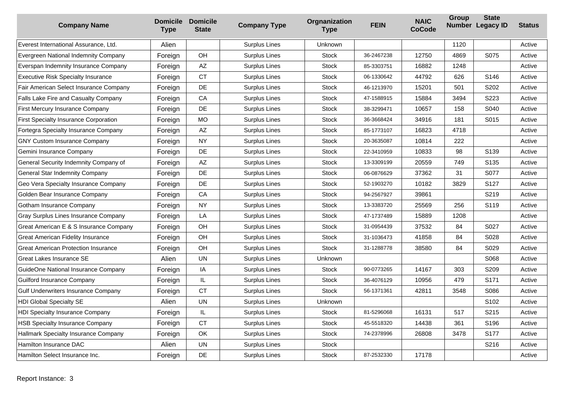| <b>Company Name</b>                          | <b>Domicile</b><br><b>Type</b> | <b>Domicile</b><br><b>State</b> | <b>Company Type</b>  | Orgnanization<br><b>Type</b> | <b>FEIN</b> | <b>NAIC</b><br><b>CoCode</b> | Group | <b>State</b><br>Number Legacy ID | <b>Status</b> |
|----------------------------------------------|--------------------------------|---------------------------------|----------------------|------------------------------|-------------|------------------------------|-------|----------------------------------|---------------|
| Everest International Assurance, Ltd.        | Alien                          |                                 | Surplus Lines        | <b>Unknown</b>               |             |                              | 1120  |                                  | Active        |
| Evergreen National Indemnity Company         | Foreign                        | OH                              | Surplus Lines        | <b>Stock</b>                 | 36-2467238  | 12750                        | 4869  | S075                             | Active        |
| Everspan Indemnity Insurance Company         | Foreign                        | AZ                              | Surplus Lines        | <b>Stock</b>                 | 85-3303751  | 16882                        | 1248  |                                  | Active        |
| <b>Executive Risk Specialty Insurance</b>    | Foreign                        | <b>CT</b>                       | Surplus Lines        | <b>Stock</b>                 | 06-1330642  | 44792                        | 626   | S146                             | Active        |
| Fair American Select Insurance Company       | Foreign                        | DE                              | Surplus Lines        | <b>Stock</b>                 | 46-1213970  | 15201                        | 501   | S202                             | Active        |
| Falls Lake Fire and Casualty Company         | Foreign                        | CA                              | Surplus Lines        | <b>Stock</b>                 | 47-1588915  | 15884                        | 3494  | S223                             | Active        |
| First Mercury Insurance Company              | Foreign                        | DE                              | Surplus Lines        | <b>Stock</b>                 | 38-3299471  | 10657                        | 158   | S040                             | Active        |
| <b>First Specialty Insurance Corporation</b> | Foreign                        | <b>MO</b>                       | Surplus Lines        | <b>Stock</b>                 | 36-3668424  | 34916                        | 181   | S015                             | Active        |
| Fortegra Specialty Insurance Company         | Foreign                        | AZ                              | <b>Surplus Lines</b> | <b>Stock</b>                 | 85-1773107  | 16823                        | 4718  |                                  | Active        |
| <b>GNY Custom Insurance Company</b>          | Foreign                        | <b>NY</b>                       | Surplus Lines        | <b>Stock</b>                 | 20-3635087  | 10814                        | 222   |                                  | Active        |
| Gemini Insurance Company                     | Foreign                        | <b>DE</b>                       | Surplus Lines        | <b>Stock</b>                 | 22-3410959  | 10833                        | 98    | S <sub>139</sub>                 | Active        |
| General Security Indemnity Company of        | Foreign                        | AZ                              | Surplus Lines        | <b>Stock</b>                 | 13-3309199  | 20559                        | 749   | S135                             | Active        |
| <b>General Star Indemnity Company</b>        | Foreign                        | DE                              | Surplus Lines        | <b>Stock</b>                 | 06-0876629  | 37362                        | 31    | S077                             | Active        |
| Geo Vera Specialty Insurance Company         | Foreign                        | DE                              | Surplus Lines        | <b>Stock</b>                 | 52-1903270  | 10182                        | 3829  | S127                             | Active        |
| Golden Bear Insurance Company                | Foreign                        | CA                              | Surplus Lines        | <b>Stock</b>                 | 94-2567927  | 39861                        |       | S219                             | Active        |
| Gotham Insurance Company                     | Foreign                        | <b>NY</b>                       | <b>Surplus Lines</b> | <b>Stock</b>                 | 13-3383720  | 25569                        | 256   | S119                             | Active        |
| Gray Surplus Lines Insurance Company         | Foreign                        | LA                              | <b>Surplus Lines</b> | <b>Stock</b>                 | 47-1737489  | 15889                        | 1208  |                                  | Active        |
| Great American E & S Insurance Company       | Foreign                        | OH                              | Surplus Lines        | <b>Stock</b>                 | 31-0954439  | 37532                        | 84    | S027                             | Active        |
| Great American Fidelity Insurance            | Foreign                        | OH                              | Surplus Lines        | <b>Stock</b>                 | 31-1036473  | 41858                        | 84    | S028                             | Active        |
| <b>Great American Protection Insurance</b>   | Foreign                        | <b>OH</b>                       | Surplus Lines        | <b>Stock</b>                 | 31-1288778  | 38580                        | 84    | S029                             | Active        |
| Great Lakes Insurance SE                     | Alien                          | <b>UN</b>                       | Surplus Lines        | Unknown                      |             |                              |       | S068                             | Active        |
| GuideOne National Insurance Company          | Foreign                        | IA                              | Surplus Lines        | <b>Stock</b>                 | 90-0773265  | 14167                        | 303   | S209                             | Active        |
| Guilford Insurance Company                   | Foreign                        | IL                              | Surplus Lines        | <b>Stock</b>                 | 36-4076129  | 10956                        | 479   | S171                             | Active        |
| <b>Gulf Underwriters Insurance Company</b>   | Foreign                        | <b>CT</b>                       | Surplus Lines        | <b>Stock</b>                 | 56-1371361  | 42811                        | 3548  | S086                             | Active        |
| <b>HDI Global Specialty SE</b>               | Alien                          | <b>UN</b>                       | <b>Surplus Lines</b> | Unknown                      |             |                              |       | S102                             | Active        |
| <b>HDI Specialty Insurance Company</b>       | Foreign                        | IL.                             | Surplus Lines        | <b>Stock</b>                 | 81-5296068  | 16131                        | 517   | S215                             | Active        |
| <b>HSB Specialty Insurance Company</b>       | Foreign                        | <b>CT</b>                       | <b>Surplus Lines</b> | <b>Stock</b>                 | 45-5518320  | 14438                        | 361   | S196                             | Active        |
| Hallmark Specialty Insurance Company         | Foreign                        | OK                              | Surplus Lines        | <b>Stock</b>                 | 74-2378996  | 26808                        | 3478  | S177                             | Active        |
| Hamilton Insurance DAC                       | Alien                          | <b>UN</b>                       | <b>Surplus Lines</b> | <b>Stock</b>                 |             |                              |       | S216                             | Active        |
| Hamilton Select Insurance Inc.               | Foreign                        | DE                              | <b>Surplus Lines</b> | <b>Stock</b>                 | 87-2532330  | 17178                        |       |                                  | Active        |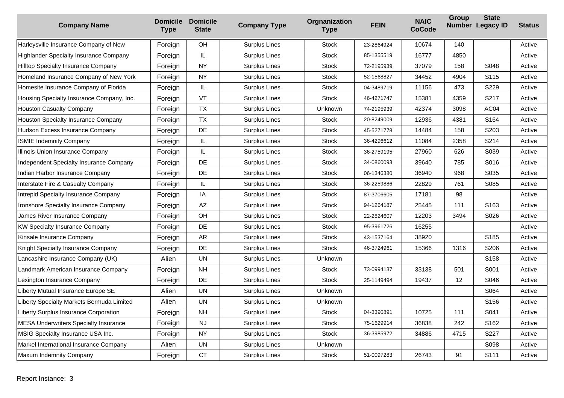| <b>Company Name</b>                           | <b>Domicile</b><br><b>Type</b> | <b>Domicile</b><br><b>State</b> | <b>Company Type</b>  | Orgnanization<br><b>Type</b> | <b>FEIN</b> | <b>NAIC</b><br><b>CoCode</b> | Group             | <b>State</b><br>Number Legacy ID | <b>Status</b> |
|-----------------------------------------------|--------------------------------|---------------------------------|----------------------|------------------------------|-------------|------------------------------|-------------------|----------------------------------|---------------|
| Harleysville Insurance Company of New         | Foreign                        | OH                              | <b>Surplus Lines</b> | <b>Stock</b>                 | 23-2864924  | 10674                        | 140               |                                  | Active        |
| <b>Highlander Specialty Insurance Company</b> | Foreign                        | IL.                             | Surplus Lines        | <b>Stock</b>                 | 85-1355519  | 16777                        | 4850              |                                  | Active        |
| Hilltop Specialty Insurance Company           | Foreign                        | <b>NY</b>                       | Surplus Lines        | <b>Stock</b>                 | 72-2195939  | 37079                        | 158               | S048                             | Active        |
| Homeland Insurance Company of New York        | Foreign                        | <b>NY</b>                       | Surplus Lines        | <b>Stock</b>                 | 52-1568827  | 34452                        | 4904              | S <sub>115</sub>                 | Active        |
| Homesite Insurance Company of Florida         | Foreign                        | IL.                             | <b>Surplus Lines</b> | <b>Stock</b>                 | 04-3489719  | 11156                        | 473               | S229                             | Active        |
| Housing Specialty Insurance Company, Inc.     | Foreign                        | VT                              | Surplus Lines        | <b>Stock</b>                 | 46-4271747  | 15381                        | 4359              | S217                             | Active        |
| <b>Houston Casualty Company</b>               | Foreign                        | <b>TX</b>                       | Surplus Lines        | Unknown                      | 74-2195939  | 42374                        | 3098              | AC04                             | Active        |
| Houston Specialty Insurance Company           | Foreign                        | <b>TX</b>                       | Surplus Lines        | <b>Stock</b>                 | 20-8249009  | 12936                        | 4381              | S <sub>164</sub>                 | Active        |
| Hudson Excess Insurance Company               | Foreign                        | DE                              | Surplus Lines        | <b>Stock</b>                 | 45-5271778  | 14484                        | 158               | S203                             | Active        |
| <b>ISMIE Indemnity Company</b>                | Foreign                        | $\mathsf{IL}$                   | Surplus Lines        | <b>Stock</b>                 | 36-4296612  | 11084                        | 2358              | S214                             | Active        |
| Illinois Union Insurance Company              | Foreign                        | IL.                             | Surplus Lines        | <b>Stock</b>                 | 36-2759195  | 27960                        | 626               | S039                             | Active        |
| Independent Specialty Insurance Company       | Foreign                        | DE                              | Surplus Lines        | <b>Stock</b>                 | 34-0860093  | 39640                        | 785               | S016                             | Active        |
| Indian Harbor Insurance Company               | Foreign                        | <b>DE</b>                       | Surplus Lines        | Stock                        | 06-1346380  | 36940                        | 968               | S035                             | Active        |
| Interstate Fire & Casualty Company            | Foreign                        | IL.                             | <b>Surplus Lines</b> | <b>Stock</b>                 | 36-2259886  | 22829                        | 761               | S085                             | Active        |
| Intrepid Specialty Insurance Company          | Foreign                        | IA                              | Surplus Lines        | <b>Stock</b>                 | 87-3706605  | 17181                        | 98                |                                  | Active        |
| Ironshore Specialty Insurance Company         | Foreign                        | $\mathsf{A}\mathsf{Z}$          | Surplus Lines        | <b>Stock</b>                 | 94-1264187  | 25445                        | 111               | S163                             | Active        |
| James River Insurance Company                 | Foreign                        | OH                              | Surplus Lines        | <b>Stock</b>                 | 22-2824607  | 12203                        | 3494              | S026                             | Active        |
| <b>KW Specialty Insurance Company</b>         | Foreign                        | DE                              | Surplus Lines        | <b>Stock</b>                 | 95-3961726  | 16255                        |                   |                                  | Active        |
| Kinsale Insurance Company                     | Foreign                        | <b>AR</b>                       | Surplus Lines        | <b>Stock</b>                 | 43-1537164  | 38920                        |                   | S <sub>185</sub>                 | Active        |
| Knight Specialty Insurance Company            | Foreign                        | DE                              | Surplus Lines        | <b>Stock</b>                 | 46-3724961  | 15366                        | 1316              | S206                             | Active        |
| Lancashire Insurance Company (UK)             | Alien                          | <b>UN</b>                       | Surplus Lines        | Unknown                      |             |                              |                   | S158                             | Active        |
| Landmark American Insurance Company           | Foreign                        | <b>NH</b>                       | Surplus Lines        | <b>Stock</b>                 | 73-0994137  | 33138                        | 501               | S001                             | Active        |
| Lexington Insurance Company                   | Foreign                        | DE                              | Surplus Lines        | <b>Stock</b>                 | 25-1149494  | 19437                        | $12 \overline{ }$ | S046                             | Active        |
| Liberty Mutual Insurance Europe SE            | Alien                          | <b>UN</b>                       | <b>Surplus Lines</b> | Unknown                      |             |                              |                   | S064                             | Active        |
| Liberty Specialty Markets Bermuda Limited     | Alien                          | <b>UN</b>                       | Surplus Lines        | Unknown                      |             |                              |                   | S156                             | Active        |
| Liberty Surplus Insurance Corporation         | Foreign                        | <b>NH</b>                       | Surplus Lines        | <b>Stock</b>                 | 04-3390891  | 10725                        | 111               | S041                             | Active        |
| <b>MESA Underwriters Specialty Insurance</b>  | Foreign                        | <b>NJ</b>                       | <b>Surplus Lines</b> | <b>Stock</b>                 | 75-1629914  | 36838                        | 242               | S162                             | Active        |
| MSIG Specialty Insurance USA Inc.             | Foreign                        | <b>NY</b>                       | Surplus Lines        | <b>Stock</b>                 | 36-3985972  | 34886                        | 4715              | S227                             | Active        |
| Markel International Insurance Company        | Alien                          | <b>UN</b>                       | Surplus Lines        | Unknown                      |             |                              |                   | S098                             | Active        |
| Maxum Indemnity Company                       | Foreign                        | <b>CT</b>                       | <b>Surplus Lines</b> | <b>Stock</b>                 | 51-0097283  | 26743                        | 91                | S111                             | Active        |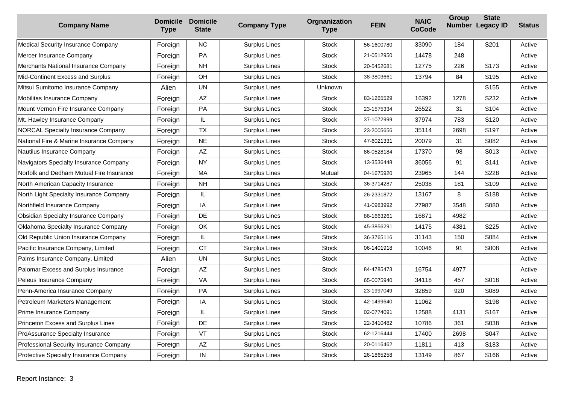| <b>Company Name</b>                       | <b>Domicile</b><br><b>Type</b> | <b>Domicile</b><br><b>State</b> | <b>Company Type</b>  | Orgnanization<br><b>Type</b> | <b>FEIN</b> | <b>NAIC</b><br><b>CoCode</b> | Group | <b>State</b><br>Number Legacy ID | <b>Status</b> |
|-------------------------------------------|--------------------------------|---------------------------------|----------------------|------------------------------|-------------|------------------------------|-------|----------------------------------|---------------|
| Medical Security Insurance Company        | Foreign                        | <b>NC</b>                       | <b>Surplus Lines</b> | <b>Stock</b>                 | 56-1600780  | 33090                        | 184   | S201                             | Active        |
| Mercer Insurance Company                  | Foreign                        | PA                              | Surplus Lines        | <b>Stock</b>                 | 21-0512950  | 14478                        | 248   |                                  | Active        |
| Merchants National Insurance Company      | Foreign                        | <b>NH</b>                       | Surplus Lines        | <b>Stock</b>                 | 20-5452681  | 12775                        | 226   | S173                             | Active        |
| Mid-Continent Excess and Surplus          | Foreign                        | OH                              | <b>Surplus Lines</b> | <b>Stock</b>                 | 38-3803661  | 13794                        | 84    | S195                             | Active        |
| Mitsui Sumitomo Insurance Company         | Alien                          | <b>UN</b>                       | Surplus Lines        | Unknown                      |             |                              |       | S <sub>155</sub>                 | Active        |
| Mobilitas Insurance Company               | Foreign                        | $\mathsf{A}\mathsf{Z}$          | Surplus Lines        | <b>Stock</b>                 | 83-1265529  | 16392                        | 1278  | S232                             | Active        |
| Mount Vernon Fire Insurance Company       | Foreign                        | PA                              | Surplus Lines        | <b>Stock</b>                 | 23-1575334  | 26522                        | 31    | S104                             | Active        |
| Mt. Hawley Insurance Company              | Foreign                        | IL.                             | Surplus Lines        | <b>Stock</b>                 | 37-1072999  | 37974                        | 783   | S <sub>120</sub>                 | Active        |
| <b>NORCAL Specialty Insurance Company</b> | Foreign                        | <b>TX</b>                       | <b>Surplus Lines</b> | <b>Stock</b>                 | 23-2005656  | 35114                        | 2698  | S197                             | Active        |
| National Fire & Marine Insurance Company  | Foreign                        | <b>NE</b>                       | Surplus Lines        | <b>Stock</b>                 | 47-6021331  | 20079                        | 31    | S082                             | Active        |
| Nautilus Insurance Company                | Foreign                        | $\mathsf{A}\mathsf{Z}$          | Surplus Lines        | <b>Stock</b>                 | 86-0528184  | 17370                        | 98    | S013                             | Active        |
| Navigators Specialty Insurance Company    | Foreign                        | <b>NY</b>                       | <b>Surplus Lines</b> | <b>Stock</b>                 | 13-3536448  | 36056                        | 91    | S141                             | Active        |
| Norfolk and Dedham Mutual Fire Insurance  | Foreign                        | MA                              | Surplus Lines        | Mutual                       | 04-1675920  | 23965                        | 144   | S228                             | Active        |
| North American Capacity Insurance         | Foreign                        | <b>NH</b>                       | <b>Surplus Lines</b> | <b>Stock</b>                 | 36-3714287  | 25038                        | 181   | S109                             | Active        |
| North Light Specialty Insurance Company   | Foreign                        | IL                              | Surplus Lines        | <b>Stock</b>                 | 26-2331872  | 13167                        | 8     | S188                             | Active        |
| Northfield Insurance Company              | Foreign                        | IA                              | Surplus Lines        | <b>Stock</b>                 | 41-0983992  | 27987                        | 3548  | S080                             | Active        |
| Obsidian Specialty Insurance Company      | Foreign                        | DE                              | Surplus Lines        | <b>Stock</b>                 | 86-1663261  | 16871                        | 4982  |                                  | Active        |
| Oklahoma Specialty Insurance Company      | Foreign                        | OK                              | <b>Surplus Lines</b> | <b>Stock</b>                 | 45-3856291  | 14175                        | 4381  | S225                             | Active        |
| Old Republic Union Insurance Company      | Foreign                        | IL                              | Surplus Lines        | <b>Stock</b>                 | 36-3765116  | 31143                        | 150   | S084                             | Active        |
| Pacific Insurance Company, Limited        | Foreign                        | <b>CT</b>                       | Surplus Lines        | <b>Stock</b>                 | 06-1401918  | 10046                        | 91    | S008                             | Active        |
| Palms Insurance Company, Limited          | Alien                          | <b>UN</b>                       | Surplus Lines        | <b>Stock</b>                 |             |                              |       |                                  | Active        |
| Palomar Excess and Surplus Insurance      | Foreign                        | AZ                              | <b>Surplus Lines</b> | <b>Stock</b>                 | 84-4785473  | 16754                        | 4977  |                                  | Active        |
| Peleus Insurance Company                  | Foreign                        | VA                              | Surplus Lines        | <b>Stock</b>                 | 65-0075940  | 34118                        | 457   | S018                             | Active        |
| Penn-America Insurance Company            | Foreign                        | PA                              | Surplus Lines        | Stock                        | 23-1997049  | 32859                        | 920   | S089                             | Active        |
| Petroleum Marketers Management            | Foreign                        | IA                              | Surplus Lines        | <b>Stock</b>                 | 42-1499640  | 11062                        |       | S <sub>198</sub>                 | Active        |
| Prime Insurance Company                   | Foreign                        | IL.                             | Surplus Lines        | <b>Stock</b>                 | 02-0774091  | 12588                        | 4131  | S <sub>167</sub>                 | Active        |
| Princeton Excess and Surplus Lines        | Foreign                        | DE                              | <b>Surplus Lines</b> | <b>Stock</b>                 | 22-3410482  | 10786                        | 361   | S038                             | Active        |
| ProAssurance Specialty Insurance          | Foreign                        | VT                              | <b>Surplus Lines</b> | <b>Stock</b>                 | 62-1216444  | 17400                        | 2698  | S047                             | Active        |
| Professional Security Insurance Company   | Foreign                        | $\mathsf{A}\mathsf{Z}$          | Surplus Lines        | Stock                        | 20-0116462  | 11811                        | 413   | S183                             | Active        |
| Protective Specialty Insurance Company    | Foreign                        | ${\sf IN}$                      | Surplus Lines        | <b>Stock</b>                 | 26-1865258  | 13149                        | 867   | S <sub>166</sub>                 | Active        |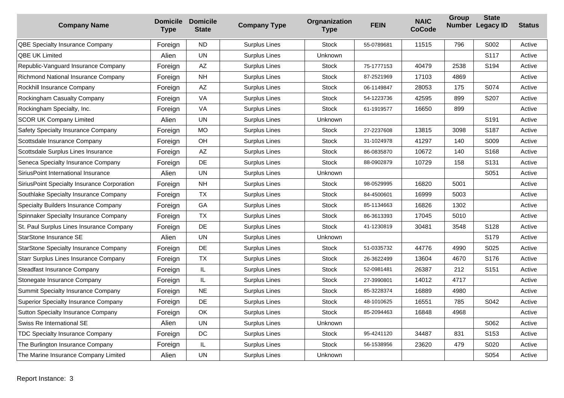| <b>Company Name</b>                          | <b>Domicile</b><br><b>Type</b> | <b>Domicile</b><br><b>State</b> | <b>Company Type</b>  | Orgnanization<br><b>Type</b> | <b>FEIN</b> | <b>NAIC</b><br><b>CoCode</b> | <b>Group</b> | <b>State</b><br>Number Legacy ID | <b>Status</b> |
|----------------------------------------------|--------------------------------|---------------------------------|----------------------|------------------------------|-------------|------------------------------|--------------|----------------------------------|---------------|
| QBE Specialty Insurance Company              | Foreign                        | <b>ND</b>                       | Surplus Lines        | <b>Stock</b>                 | 55-0789681  | 11515                        | 796          | S002                             | Active        |
| <b>QBE UK Limited</b>                        | Alien                          | <b>UN</b>                       | <b>Surplus Lines</b> | <b>Unknown</b>               |             |                              |              | S <sub>117</sub>                 | Active        |
| Republic-Vanguard Insurance Company          | Foreign                        | AZ                              | <b>Surplus Lines</b> | <b>Stock</b>                 | 75-1777153  | 40479                        | 2538         | S194                             | Active        |
| Richmond National Insurance Company          | Foreign                        | <b>NH</b>                       | Surplus Lines        | <b>Stock</b>                 | 87-2521969  | 17103                        | 4869         |                                  | Active        |
| Rockhill Insurance Company                   | Foreign                        | AZ                              | <b>Surplus Lines</b> | <b>Stock</b>                 | 06-1149847  | 28053                        | 175          | S074                             | Active        |
| Rockingham Casualty Company                  | Foreign                        | VA                              | Surplus Lines        | <b>Stock</b>                 | 54-1223736  | 42595                        | 899          | S207                             | Active        |
| Rockingham Specialty, Inc.                   | Foreign                        | VA                              | Surplus Lines        | <b>Stock</b>                 | 61-1919577  | 16650                        | 899          |                                  | Active        |
| <b>SCOR UK Company Limited</b>               | Alien                          | <b>UN</b>                       | <b>Surplus Lines</b> | Unknown                      |             |                              |              | S191                             | Active        |
| Safety Specialty Insurance Company           | Foreign                        | MO                              | Surplus Lines        | <b>Stock</b>                 | 27-2237608  | 13815                        | 3098         | S187                             | Active        |
| Scottsdale Insurance Company                 | Foreign                        | <b>OH</b>                       | Surplus Lines        | <b>Stock</b>                 | 31-1024978  | 41297                        | 140          | S009                             | Active        |
| Scottsdale Surplus Lines Insurance           | Foreign                        | AZ                              | Surplus Lines        | <b>Stock</b>                 | 86-0835870  | 10672                        | 140          | S168                             | Active        |
| Seneca Specialty Insurance Company           | Foreign                        | DE                              | <b>Surplus Lines</b> | <b>Stock</b>                 | 88-0902879  | 10729                        | 158          | S131                             | Active        |
| SiriusPoint International Insurance          | Alien                          | <b>UN</b>                       | Surplus Lines        | Unknown                      |             |                              |              | S051                             | Active        |
| SiriusPoint Specialty Insurance Corporation  | Foreign                        | <b>NH</b>                       | Surplus Lines        | <b>Stock</b>                 | 98-0529995  | 16820                        | 5001         |                                  | Active        |
| Southlake Specialty Insurance Company        | Foreign                        | <b>TX</b>                       | Surplus Lines        | <b>Stock</b>                 | 84-4500601  | 16999                        | 5003         |                                  | Active        |
| Specialty Builders Insurance Company         | Foreign                        | GA                              | <b>Surplus Lines</b> | <b>Stock</b>                 | 85-1134663  | 16826                        | 1302         |                                  | Active        |
| Spinnaker Specialty Insurance Company        | Foreign                        | TX                              | Surplus Lines        | <b>Stock</b>                 | 86-3613393  | 17045                        | 5010         |                                  | Active        |
| St. Paul Surplus Lines Insurance Company     | Foreign                        | DE                              | <b>Surplus Lines</b> | <b>Stock</b>                 | 41-1230819  | 30481                        | 3548         | S128                             | Active        |
| StarStone Insurance SE                       | Alien                          | <b>UN</b>                       | Surplus Lines        | Unknown                      |             |                              |              | S179                             | Active        |
| <b>StarStone Specialty Insurance Company</b> | Foreign                        | <b>DE</b>                       | Surplus Lines        | <b>Stock</b>                 | 51-0335732  | 44776                        | 4990         | S025                             | Active        |
| Starr Surplus Lines Insurance Company        | Foreign                        | <b>TX</b>                       | <b>Surplus Lines</b> | <b>Stock</b>                 | 26-3622499  | 13604                        | 4670         | S176                             | Active        |
| Steadfast Insurance Company                  | Foreign                        | IL                              | Surplus Lines        | <b>Stock</b>                 | 52-0981481  | 26387                        | 212          | S151                             | Active        |
| Stonegate Insurance Company                  | Foreign                        | $\mathsf{IL}$                   | Surplus Lines        | <b>Stock</b>                 | 27-3990801  | 14012                        | 4717         |                                  | Active        |
| Summit Specialty Insurance Company           | Foreign                        | <b>NE</b>                       | Surplus Lines        | <b>Stock</b>                 | 85-3228374  | 16889                        | 4980         |                                  | Active        |
| <b>Superior Specialty Insurance Company</b>  | Foreign                        | DE                              | <b>Surplus Lines</b> | <b>Stock</b>                 | 48-1010625  | 16551                        | 785          | S042                             | Active        |
| Sutton Specialty Insurance Company           | Foreign                        | OK                              | Surplus Lines        | <b>Stock</b>                 | 85-2094463  | 16848                        | 4968         |                                  | Active        |
| Swiss Re International SE                    | Alien                          | <b>UN</b>                       | Surplus Lines        | <b>Unknown</b>               |             |                              |              | S062                             | Active        |
| TDC Specialty Insurance Company              | Foreign                        | DC                              | Surplus Lines        | <b>Stock</b>                 | 95-4241120  | 34487                        | 831          | S <sub>153</sub>                 | Active        |
| The Burlington Insurance Company             | Foreign                        | $\mathsf{IL}$                   | Surplus Lines        | <b>Stock</b>                 | 56-1538956  | 23620                        | 479          | S020                             | Active        |
| The Marine Insurance Company Limited         | Alien                          | <b>UN</b>                       | Surplus Lines        | Unknown                      |             |                              |              | S054                             | Active        |